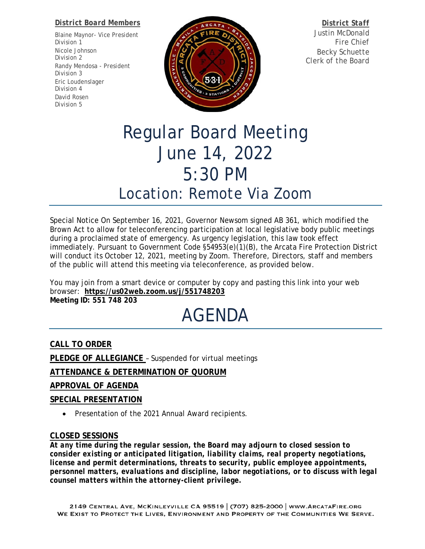#### *District Board Members*

Blaine Maynor- *Vice President Division 1* Nicole Johnson *Division 2* Randy Mendosa - *President Division 3* Eric Loudenslager *Division 4* David Rosen *Division 5*



*District Staff* Justin McDonald *Fire Chief* Becky Schuette *Clerk of the Board*

## Regular Board Meeting June 14, 2022 5:30 PM Location: *Remote Via Zoom*

Special Notice On September 16, 2021, Governor Newsom signed AB 361, which modified the Brown Act to allow for teleconferencing participation at local legislative body public meetings during a proclaimed state of emergency. As urgency legislation, this law took effect immediately. Pursuant to Government Code §54953(e)(1)(B), the Arcata Fire Protection District will conduct its October 12, 2021, meeting by Zoom. Therefore, Directors, staff and members of the public will attend this meeting via teleconference, as provided below.

You may join from a smart device or computer by copy and pasting this link into your web browser: **[https://us02web.zoom.us/j/551748203](https://www.google.com/url?q=https://us02web.zoom.us/j/551748203&sa=D&ust=1586875776329000&usg=AOvVaw07LV6BPGA-iaU89QN4C37P) Meeting ID: 551 748 203**

# AGENDA

**CALL TO ORDER**

**PLEDGE OF ALLEGIANCE** – Suspended for virtual meetings

**ATTENDANCE & DETERMINATION OF QUORUM**

### **APPROVAL OF AGENDA**

### **SPECIAL PRESENTATION**

• Presentation of the 2021 Annual Award recipients.

#### **CLOSED SESSIONS**

*At any time during the regular session, the Board may adjourn to closed session to consider existing or anticipated litigation, liability claims, real property negotiations, license and permit determinations, threats to security, public employee appointments, personnel matters, evaluations and discipline, labor negotiations, or to discuss with legal counsel matters within the attorney-client privilege.*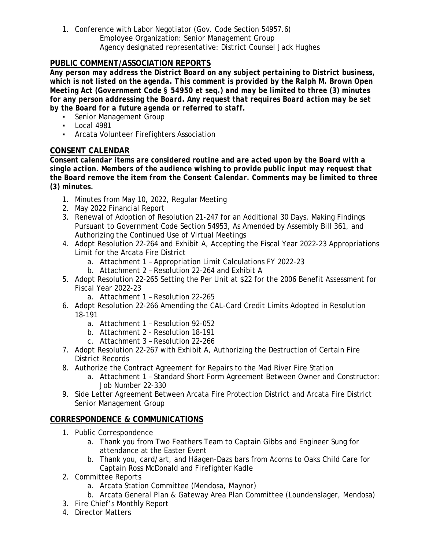1. Conference with Labor Negotiator (Gov. Code Section 54957.6) Employee Organization: *Senior Management Group* Agency designated representative: *District Counsel Jack Hughes*

### **PUBLIC COMMENT/ASSOCIATION REPORTS**

*Any person may address the District Board on any subject pertaining to District business, which is not listed on the agenda. This comment is provided by the Ralph M. Brown Open Meeting Act (Government Code § 54950 et seq.) and may be limited to three (3) minutes for any person addressing the Board. Any request that requires Board action may be set by the Board for a future agenda or referred to staff.*

- **•** Senior Management Group
- Local 4981
- Arcata Volunteer Firefighters Association

#### **CONSENT CALENDAR**

*Consent calendar items are considered routine and are acted upon by the Board with a single action. Members of the audience wishing to provide public input may request that the Board remove the item from the Consent Calendar. Comments may be limited to three (3) minutes.* 

- 1. Minutes from May 10, 2022, Regular Meeting
- 2. May 2022 Financial Report
- 3. Renewal of Adoption of Resolution 21-247 for an Additional 30 Days, Making Findings Pursuant to Government Code Section 54953, As Amended by Assembly Bill 361, and Authorizing the Continued Use of Virtual Meetings
- 4. Adopt Resolution 22-264 and Exhibit A, Accepting the Fiscal Year 2022-23 Appropriations Limit for the Arcata Fire District
	- a. Attachment 1 Appropriation Limit Calculations FY 2022-23
	- b. Attachment 2 Resolution 22-264 and Exhibit A
- 5. Adopt Resolution 22-265 Setting the Per Unit at \$22 for the 2006 Benefit Assessment for Fiscal Year 2022-23
	- a. Attachment 1 Resolution 22-265
- 6. Adopt Resolution 22-266 Amending the CAL-Card Credit Limits Adopted in Resolution 18-191
	- a. Attachment 1 Resolution 92-052
	- b. Attachment 2 Resolution 18-191
	- c. Attachment 3 Resolution 22-266
- 7. Adopt Resolution 22-267 with Exhibit A, Authorizing the Destruction of Certain Fire District Records
- 8. Authorize the Contract Agreement for Repairs to the Mad River Fire Station
	- a. Attachment 1 Standard Short Form Agreement Between Owner and Constructor: Job Number 22-330
- 9. Side Letter Agreement Between Arcata Fire Protection District and Arcata Fire District Senior Management Group

#### **CORRESPONDENCE & COMMUNICATIONS**

- 1. Public Correspondence
	- a. Thank you from Two Feathers Team to Captain Gibbs and Engineer Sung for attendance at the Easter Event
	- b. Thank you, card/art, and Häagen-Dazs bars from Acorns to Oaks Child Care for Captain Ross McDonald and Firefighter Kadle
- 2. Committee Reports
	- a. Arcata Station Committee *(Mendosa, Maynor)*
	- b. Arcata General Plan & Gateway Area Plan Committee *(Loundenslager, Mendosa)*
- 3. Fire Chief's Monthly Report
- 4. Director Matters